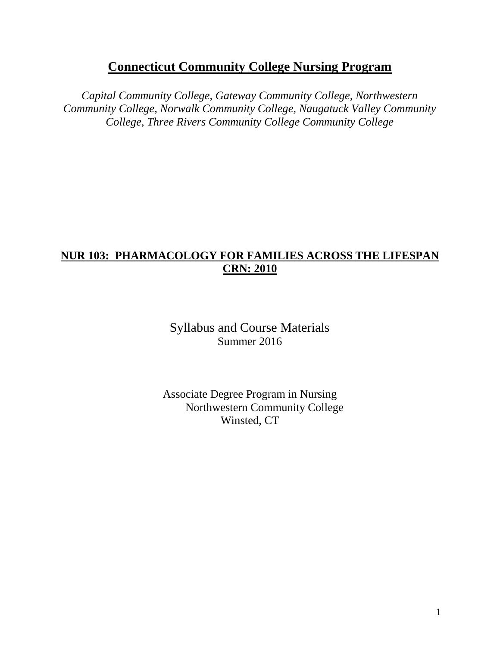# **Connecticut Community College Nursing Program**

*Capital Community College, Gateway Community College, Northwestern Community College, Norwalk Community College, Naugatuck Valley Community College, Three Rivers Community College Community College*

## **NUR 103: PHARMACOLOGY FOR FAMILIES ACROSS THE LIFESPAN CRN: 2010**

Syllabus and Course Materials Summer 2016

Associate Degree Program in Nursing Northwestern Community College Winsted, CT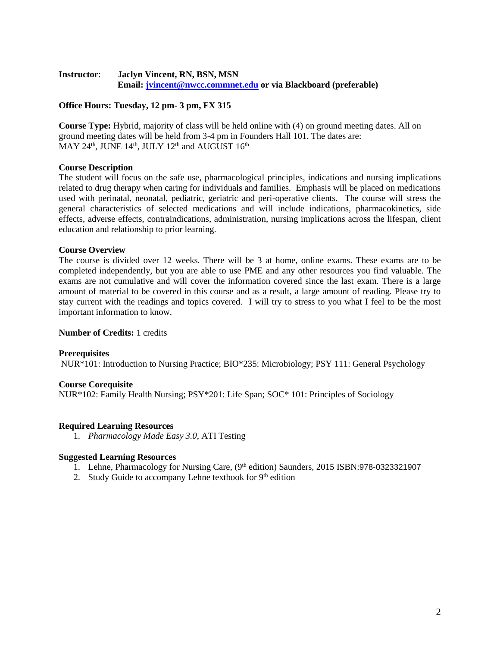## **Instructor**: **Jaclyn Vincent, RN, BSN, MSN Email: [jvincent@nwcc.commnet.edu](mailto:jvincent@nwcc.commnet.edu) or via Blackboard (preferable)**

## **Office Hours: Tuesday, 12 pm- 3 pm, FX 315**

**Course Type:** Hybrid, majority of class will be held online with (4) on ground meeting dates. All on ground meeting dates will be held from 3-4 pm in Founders Hall 101. The dates are: MAY 24<sup>th</sup>, JUNE 14<sup>th</sup>, JULY 12<sup>th</sup> and AUGUST 16<sup>th</sup>

## **Course Description**

The student will focus on the safe use, pharmacological principles, indications and nursing implications related to drug therapy when caring for individuals and families. Emphasis will be placed on medications used with perinatal, neonatal, pediatric, geriatric and peri-operative clients. The course will stress the general characteristics of selected medications and will include indications, pharmacokinetics, side effects, adverse effects, contraindications, administration, nursing implications across the lifespan, client education and relationship to prior learning.

## **Course Overview**

The course is divided over 12 weeks. There will be 3 at home, online exams. These exams are to be completed independently, but you are able to use PME and any other resources you find valuable. The exams are not cumulative and will cover the information covered since the last exam. There is a large amount of material to be covered in this course and as a result, a large amount of reading. Please try to stay current with the readings and topics covered. I will try to stress to you what I feel to be the most important information to know.

## **Number of Credits:** 1 credits

## **Prerequisites**

NUR\*101: Introduction to Nursing Practice; BIO\*235: Microbiology; PSY 111: General Psychology

## **Course Corequisite**

NUR\*102: Family Health Nursing; PSY\*201: Life Span; SOC\* 101: Principles of Sociology

## **Required Learning Resources**

1. *Pharmacology Made Easy 3.0*, ATI Testing

## **Suggested Learning Resources**

- 1. Lehne, Pharmacology for Nursing Care, (9th edition) Saunders, 2015 ISBN:978-0323321907
- 2. Study Guide to accompany Lehne textbook for  $9<sup>th</sup>$  edition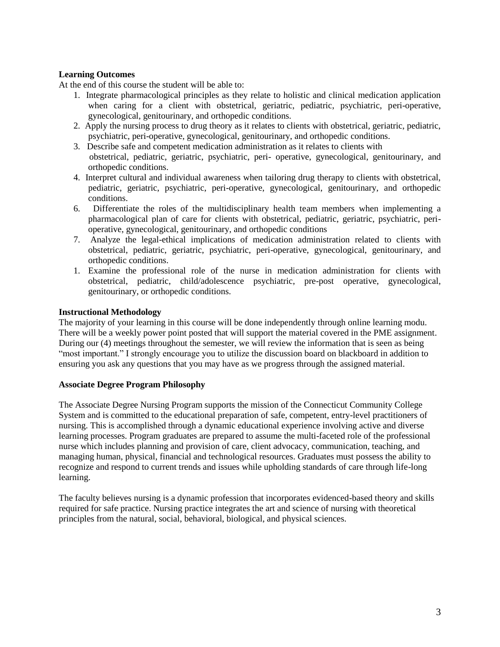## **Learning Outcomes**

At the end of this course the student will be able to:

- 1. Integrate pharmacological principles as they relate to holistic and clinical medication application when caring for a client with obstetrical, geriatric, pediatric, psychiatric, peri-operative, gynecological, genitourinary, and orthopedic conditions.
- 2. Apply the nursing process to drug theory as it relates to clients with obstetrical, geriatric, pediatric, psychiatric, peri-operative, gynecological, genitourinary, and orthopedic conditions.
- 3. Describe safe and competent medication administration as it relates to clients with obstetrical, pediatric, geriatric, psychiatric, peri- operative, gynecological, genitourinary, and orthopedic conditions.
- 4. Interpret cultural and individual awareness when tailoring drug therapy to clients with obstetrical, pediatric, geriatric, psychiatric, peri-operative, gynecological, genitourinary, and orthopedic conditions.
- 6. Differentiate the roles of the multidisciplinary health team members when implementing a pharmacological plan of care for clients with obstetrical, pediatric, geriatric, psychiatric, perioperative, gynecological, genitourinary, and orthopedic conditions
- 7. Analyze the legal-ethical implications of medication administration related to clients with obstetrical, pediatric, geriatric, psychiatric, peri-operative, gynecological, genitourinary, and orthopedic conditions.
- 1. Examine the professional role of the nurse in medication administration for clients with obstetrical, pediatric, child/adolescence psychiatric, pre-post operative, gynecological, genitourinary, or orthopedic conditions.

## **Instructional Methodology**

The majority of your learning in this course will be done independently through online learning modu. There will be a weekly power point posted that will support the material covered in the PME assignment. During our (4) meetings throughout the semester, we will review the information that is seen as being "most important." I strongly encourage you to utilize the discussion board on blackboard in addition to ensuring you ask any questions that you may have as we progress through the assigned material.

## **Associate Degree Program Philosophy**

The Associate Degree Nursing Program supports the mission of the Connecticut Community College System and is committed to the educational preparation of safe, competent, entry-level practitioners of nursing. This is accomplished through a dynamic educational experience involving active and diverse learning processes. Program graduates are prepared to assume the multi-faceted role of the professional nurse which includes planning and provision of care, client advocacy, communication, teaching, and managing human, physical, financial and technological resources. Graduates must possess the ability to recognize and respond to current trends and issues while upholding standards of care through life-long learning.

The faculty believes nursing is a dynamic profession that incorporates evidenced-based theory and skills required for safe practice. Nursing practice integrates the art and science of nursing with theoretical principles from the natural, social, behavioral, biological, and physical sciences.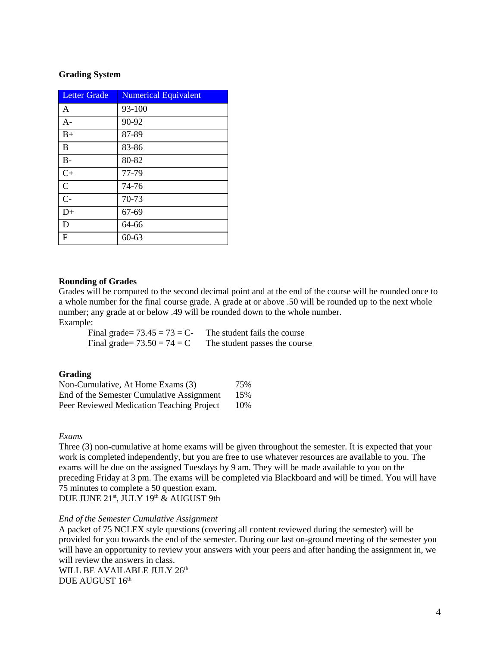#### **Grading System**

| <b>Letter Grade</b> | <b>Numerical Equivalent</b> |
|---------------------|-----------------------------|
| A                   | 93-100                      |
| $A-$                | 90-92                       |
| $B+$                | 87-89                       |
| B                   | 83-86                       |
| $B -$               | 80-82                       |
| $C+$                | 77-79                       |
| $\mathcal{C}$       | 74-76                       |
| $C-$                | 70-73                       |
| $D+$                | 67-69                       |
| D                   | 64-66                       |
| F                   | $60 - 63$                   |

#### **Rounding of Grades**

Grades will be computed to the second decimal point and at the end of the course will be rounded once to a whole number for the final course grade. A grade at or above .50 will be rounded up to the next whole number; any grade at or below .49 will be rounded down to the whole number. Example:

Final grade=  $73.45 = 73 = C$ - The student fails the course Final grade=  $73.50 = 74 = C$  The student passes the course

#### **Grading**

| Non-Cumulative, At Home Exams (3)         | 75% |
|-------------------------------------------|-----|
| End of the Semester Cumulative Assignment | 15% |
| Peer Reviewed Medication Teaching Project | 10% |

### *Exams*

Three (3) non-cumulative at home exams will be given throughout the semester. It is expected that your work is completed independently, but you are free to use whatever resources are available to you. The exams will be due on the assigned Tuesdays by 9 am. They will be made available to you on the preceding Friday at 3 pm. The exams will be completed via Blackboard and will be timed. You will have 75 minutes to complete a 50 question exam.

DUE JUNE 21st, JULY 19th & AUGUST 9th

#### *End of the Semester Cumulative Assignment*

A packet of 75 NCLEX style questions (covering all content reviewed during the semester) will be provided for you towards the end of the semester. During our last on-ground meeting of the semester you will have an opportunity to review your answers with your peers and after handing the assignment in, we will review the answers in class.

WILL BE AVAILABLE JULY 26<sup>th</sup> DUE AUGUST 16th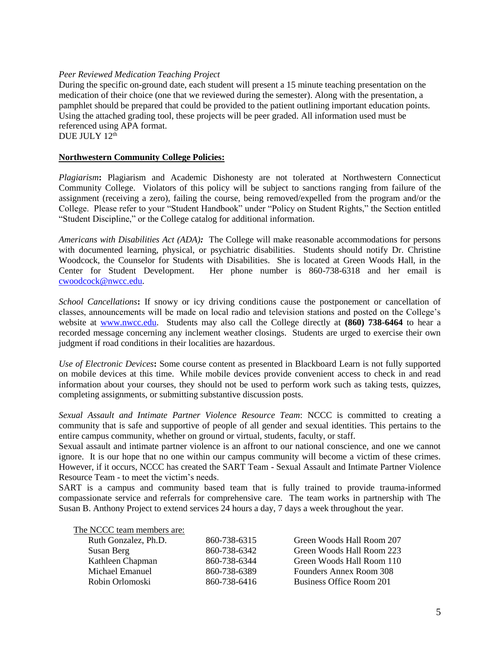## *Peer Reviewed Medication Teaching Project*

During the specific on-ground date, each student will present a 15 minute teaching presentation on the medication of their choice (one that we reviewed during the semester). Along with the presentation, a pamphlet should be prepared that could be provided to the patient outlining important education points. Using the attached grading tool, these projects will be peer graded. All information used must be referenced using APA format. DUE JULY 12<sup>th</sup>

## **Northwestern Community College Policies:**

*Plagiarism***:** Plagiarism and Academic Dishonesty are not tolerated at Northwestern Connecticut Community College. Violators of this policy will be subject to sanctions ranging from failure of the assignment (receiving a zero), failing the course, being removed/expelled from the program and/or the College. Please refer to your "Student Handbook" under "Policy on Student Rights," the Section entitled "Student Discipline," or the College catalog for additional information.

*Americans with Disabilities Act (ADA):*The College will make reasonable accommodations for persons with documented learning, physical, or psychiatric disabilities. Students should notify Dr. Christine Woodcock, the Counselor for Students with Disabilities. She is located at Green Woods Hall, in the Center for Student Development. Her phone number is 860-738-6318 and her email is [cwoodcock@nwcc.edu.](mailto:cwoodcock@nwcc.edu)

*School Cancellations***:** If snowy or icy driving conditions cause the postponement or cancellation of classes, announcements will be made on local radio and television stations and posted on the College's website at [www.nwcc.edu.](http://www.nwcc.edu/) Students may also call the College directly at **(860) 738-6464** to hear a recorded message concerning any inclement weather closings. Students are urged to exercise their own judgment if road conditions in their localities are hazardous.

*Use of Electronic Devices***:** Some course content as presented in Blackboard Learn is not fully supported on mobile devices at this time. While mobile devices provide convenient access to check in and read information about your courses, they should not be used to perform work such as taking tests, quizzes, completing assignments, or submitting substantive discussion posts.

*Sexual Assault and Intimate Partner Violence Resource Team*: NCCC is committed to creating a community that is safe and supportive of people of all gender and sexual identities. This pertains to the entire campus community, whether on ground or virtual, students, faculty, or staff.

Sexual assault and intimate partner violence is an affront to our national conscience, and one we cannot ignore. It is our hope that no one within our campus community will become a victim of these crimes. However, if it occurs, NCCC has created the SART Team - Sexual Assault and Intimate Partner Violence Resource Team - to meet the victim's needs.

SART is a campus and community based team that is fully trained to provide trauma-informed compassionate service and referrals for comprehensive care. The team works in partnership with The Susan B. Anthony Project to extend services 24 hours a day, 7 days a week throughout the year.

The NCCC team members are:

| Ruth Gonzalez, Ph.D. | 860-738-6315 | Green Woods Hall Room 207 |
|----------------------|--------------|---------------------------|
| Susan Berg           | 860-738-6342 | Green Woods Hall Room 223 |
| Kathleen Chapman     | 860-738-6344 | Green Woods Hall Room 110 |
| Michael Emanuel      | 860-738-6389 | Founders Annex Room 308   |
| Robin Orlomoski      | 860-738-6416 | Business Office Room 201  |